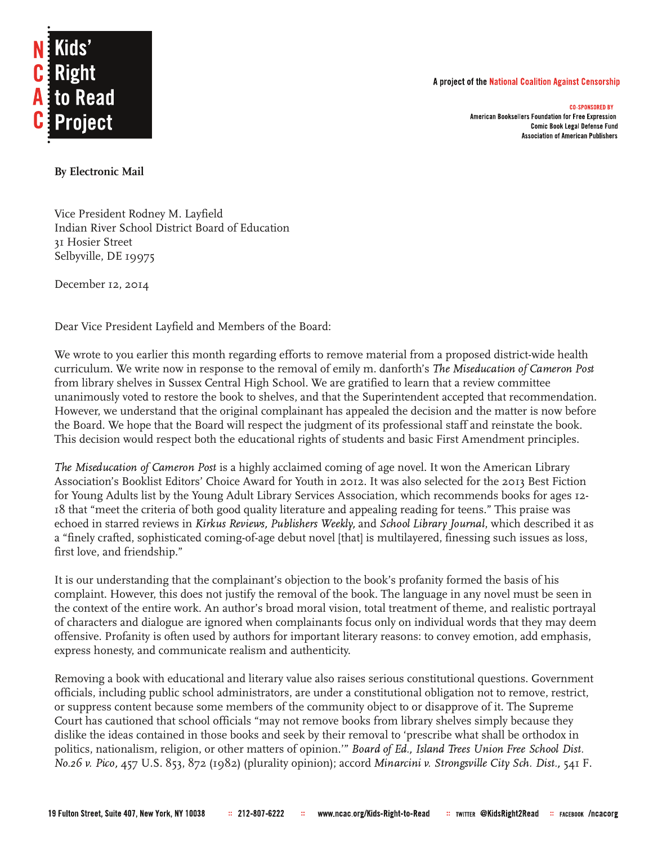## A project of the National Coalition Against Censorship





## **By Electronic Mail**

Vice President Rodney M. Layfield Indian River School District Board of Education 31 Hosier Street Selbyville, DE 19975

December 12, 2014

Dear Vice President Layfield and Members of the Board:

We wrote to you earlier this month regarding efforts to remove material from a proposed district-wide health curriculum. We write now in response to the removal of emily m. danforth's The Miseducation of Cameron Post from library shelves in Sussex Central High School. We are gratified to learn that a review committee unanimously voted to restore the book to shelves, and that the Superintendent accepted that recommendation. However, we understand that the original complainant has appealed the decision and the matter is now before the Board. We hope that the Board will respect the judgment of its professional staff and reinstate the book. This decision would respect both the educational rights of students and basic First Amendment principles.

The Miseducation of Cameron Post is a highly acclaimed coming of age novel. It won the American Library Association's Booklist Editors' Choice Award for Youth in 2012. It was also selected for the 2013 Best Fiction for Young Adults list by the Young Adult Library Services Association, which recommends books for ages 12- 18 that "meet the criteria of both good quality literature and appealing reading for teens." This praise was echoed in starred reviews in Kirkus Reviews, Publishers Weekly, and School Library Journal, which described it as a "finely crafted, sophisticated coming-of-age debut novel [that] is multilayered, finessing such issues as loss, first love, and friendship."

It is our understanding that the complainant's objection to the book's profanity formed the basis of his complaint. However, this does not justify the removal of the book. The language in any novel must be seen in the context of the entire work. An author's broad moral vision, total treatment of theme, and realistic portrayal of characters and dialogue are ignored when complainants focus only on individual words that they may deem offensive. Profanity is often used by authors for important literary reasons: to convey emotion, add emphasis, express honesty, and communicate realism and authenticity.

Removing a book with educational and literary value also raises serious constitutional questions. Government officials, including public school administrators, are under a constitutional obligation not to remove, restrict, or suppress content because some members of the community object to or disapprove of it. The Supreme Court has cautioned that school officials "may not remove books from library shelves simply because they dislike the ideas contained in those books and seek by their removal to 'prescribe what shall be orthodox in politics, nationalism, religion, or other matters of opinion.'" *Board of Ed., Island Trees Union Free School Dist*. No.26 v. Pico, 457 U.S. 853, 872 (1982) (plurality opinion); accord Minarcini v. Strongsville City Sch. Dist., 541 F.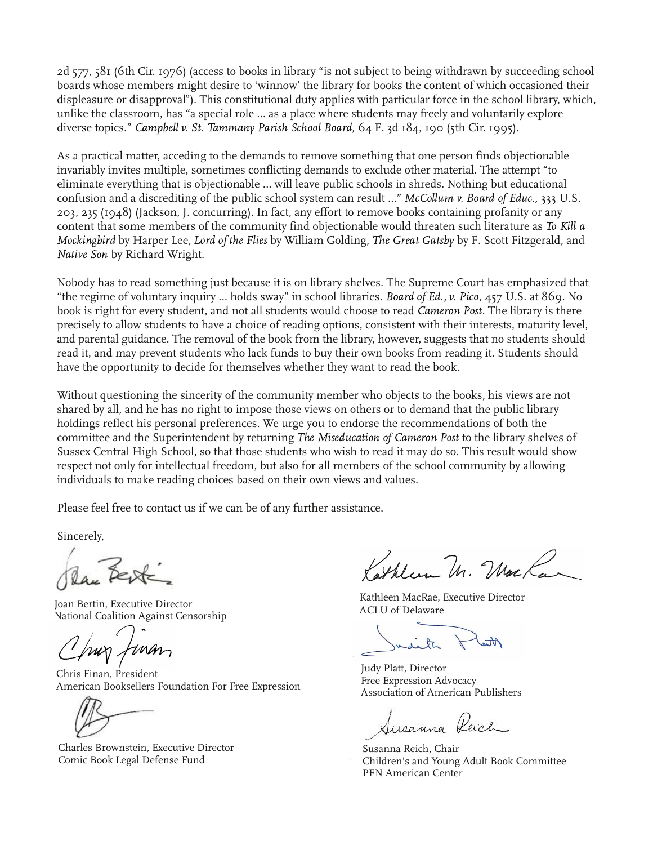2d 577, 581 (6th Cir. 1976) (access to books in library "is not subject to being withdrawn by succeeding school boards whose members might desire to 'winnow' the library for books the content of which occasioned their displeasure or disapproval"). This constitutional duty applies with particular force in the school library, which, unlike the classroom, has "a special role … as a place where students may freely and voluntarily explore diverse topics." Campbell v. St. Tammany Parish School Board, 64 F. 3d 184, 190 (5th Cir. 1995).

As a practical matter, acceding to the demands to remove something that one person finds objectionable invariably invites multiple, sometimes conflicting demands to exclude other material. The attempt "to eliminate everything that is objectionable … will leave public schools in shreds. Nothing but educational confusion and a discrediting of the public school system can result ..." McCollum v. Board of Educ., 333 U.S. 203, 235 (1948) (Jackson, J. concurring). In fact, any effort to remove books containing profanity or any content that some members of the community find objectionable would threaten such literature as To Kill a Mockingbird by Harper Lee, Lord of the Flies by William Golding, The Great Gatsby by F. Scott Fitzgerald, and Native Son by Richard Wright.

Nobody has to read something just because it is on library shelves. The Supreme Court has emphasized that "the regime of voluntary inquiry ... holds sway" in school libraries. Board of Ed., v. Pico, 457 U.S. at 869. No book is right for every student, and not all students would choose to read Cameron Post. The library is there precisely to allow students to have a choice of reading options, consistent with their interests, maturity level, and parental guidance. The removal of the book from the library, however, suggests that no students should read it, and may prevent students who lack funds to buy their own books from reading it. Students should have the opportunity to decide for themselves whether they want to read the book.

Without questioning the sincerity of the community member who objects to the books, his views are not shared by all, and he has no right to impose those views on others or to demand that the public library holdings reflect his personal preferences. We urge you to endorse the recommendations of both the committee and the Superintendent by returning The Miseducation of Cameron Post to the library shelves of Sussex Central High School, so that those students who wish to read it may do so. This result would show respect not only for intellectual freedom, but also for all members of the school community by allowing individuals to make reading choices based on their own views and values.

Please feel free to contact us if we can be of any further assistance.

Sincerely,

Joan Bertin, Executive Director National Coalition Against Censorship

Chris Finan, President American Booksellers Foundation For Free Expression

Charles Brownstein, Executive Director Comic Book Legal Defense Fund

Alexandri Mac

Kathleen MacRae, Executive Director ACLU of Delaware

Judy Platt, Director Free Expression Advocacy Association of American Publishers

Ausanna

Susanna Reich, Chair Children's and Young Adult Book Committee PEN American Center